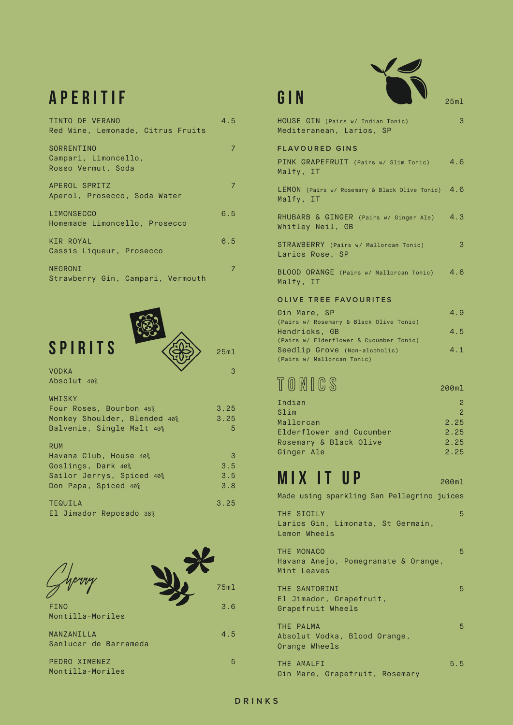## aperitif

| TINTO DE VERANO<br>Red Wine, Lemonade, Citrus Fruits     | 4.5 |
|----------------------------------------------------------|-----|
| SORRENTINO<br>Campari, Limoncello,<br>Rosso Vermut, Soda |     |
| APEROL SPRITZ<br>Aperol, Prosecco, Soda Water            | 7   |
| LIMONSECCO<br>Homemade Limoncello, Prosecco              | 6.5 |
| <b>KIR ROYAL</b><br>Cassis Liqueur, Prosecco             | 6.5 |
| NEGRONI<br>Strawberry Gin, Campari, Vermouth             | 7   |







 $M<sub>i</sub>$ 

 $M<sub>i</sub>$ 

 $M<sub>i</sub>$ 

| HOUSE GIN (Pairs w/ Indian Tonic)<br>Mediteranean, Larios, SP  | 3   |
|----------------------------------------------------------------|-----|
| <b>FLAVOURED GINS</b>                                          |     |
| PINK GRAPEFRUIT (Pairs w/ Slim Tonic)<br>Malfy, IT             | 4.6 |
| LEMON (Pairs w/ Rosemary & Black Olive Tonic) 4.6<br>Malfy, IT |     |
| RHUBARB & GINGER (Pairs w/ Ginger Ale) 4.3<br>Whitley Neil, GB |     |
| STRAWBERRY (Pairs w/ Mallorcan Tonic)<br>Larios Rose, SP       | 3   |
| BLOOD ORANGE (Pairs w/ Mallorcan Tonic) 4.6<br>Malfy, IT       |     |
| OLIVE TREE FAVOURITES                                          |     |
| Gin Mare, SP<br>(Pairs w/ Rosemary & Black Olive Tonic)        | 4.9 |
| Hendricks, GB<br>(Pairs w/ Elderflower & Cucumber Tonic)       | 4.5 |
| Seedlip Grove (Non-alcoholic)<br>(Pairs w/ Mallorcan Tonic)    | 4.1 |

# TONICS 200ml

| Indian                   |               |
|--------------------------|---------------|
| Slim                     | $\mathcal{P}$ |
| Mallorcan                | 2.25          |
| Elderflower and Cucumber | 2.25          |
| Rosemary & Black Olive   | 2.25          |
| Ginger Ale               | 2.25          |

# $MIX$  it up  $200$ ml

Made using sparkling San Pellegrino juices

THE SICILY 54 SECTION CONTROL CONTROL CONTROL CONTROL CONTROL CONTROL CONTROL CONTROL CONTROL CONTROL CONTROL CONTROL CONTROL CONTROL CONTROL CONTROL CONTROL CONTROL CONTROL CONTROL CONTROL CONTROL CONTROL CONTROL CONTROL Larios Gin, Limonata, St Germain, Lemon Wheels

THE MONACO **5** Havana Anejo, Pomegranate & Orange, Mint Leaves

THE SANTORINI 5 El Jimador, Grapefruit, Grapefruit Wheels

THE PALMA 6 STATE STATE STATE STATE STATE STATE STATE STATE STATE STATE STATE STATE STATE STATE STATE STATE STATE STATE STATE STATE STATE STATE STATE STATE STATE STATE STATE STATE STATE STATE STATE STATE STATE STATE STATE Absolut Vodka, Blood Orange, Orange Wheels

THE AMALFI 6.5 Gin Mare, Grapefruit, Rosemary